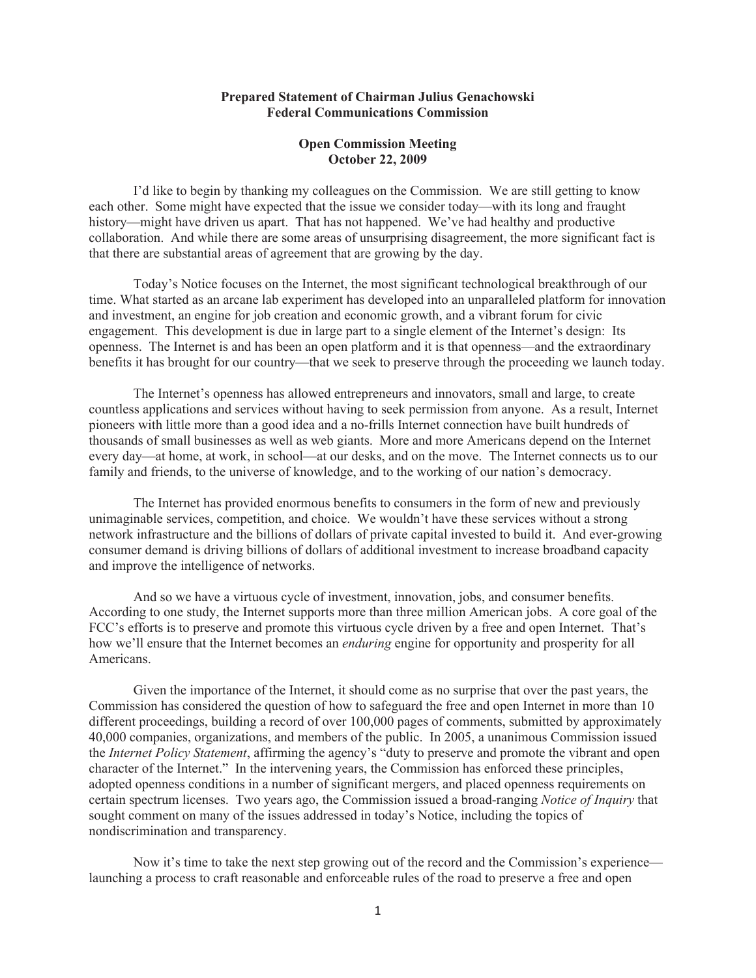## **Prepared Statement of Chairman Julius Genachowski Federal Communications Commission**

## **Open Commission Meeting October 22, 2009**

I'd like to begin by thanking my colleagues on the Commission. We are still getting to know each other. Some might have expected that the issue we consider today—with its long and fraught history—might have driven us apart. That has not happened. We've had healthy and productive collaboration. And while there are some areas of unsurprising disagreement, the more significant fact is that there are substantial areas of agreement that are growing by the day.

Today's Notice focuses on the Internet, the most significant technological breakthrough of our time. What started as an arcane lab experiment has developed into an unparalleled platform for innovation and investment, an engine for job creation and economic growth, and a vibrant forum for civic engagement. This development is due in large part to a single element of the Internet's design: Its openness. The Internet is and has been an open platform and it is that openness—and the extraordinary benefits it has brought for our country—that we seek to preserve through the proceeding we launch today.

The Internet's openness has allowed entrepreneurs and innovators, small and large, to create countless applications and services without having to seek permission from anyone. As a result, Internet pioneers with little more than a good idea and a no-frills Internet connection have built hundreds of thousands of small businesses as well as web giants. More and more Americans depend on the Internet every day—at home, at work, in school—at our desks, and on the move. The Internet connects us to our family and friends, to the universe of knowledge, and to the working of our nation's democracy.

The Internet has provided enormous benefits to consumers in the form of new and previously unimaginable services, competition, and choice. We wouldn't have these services without a strong network infrastructure and the billions of dollars of private capital invested to build it. And ever-growing consumer demand is driving billions of dollars of additional investment to increase broadband capacity and improve the intelligence of networks.

And so we have a virtuous cycle of investment, innovation, jobs, and consumer benefits. According to one study, the Internet supports more than three million American jobs. A core goal of the FCC's efforts is to preserve and promote this virtuous cycle driven by a free and open Internet. That's how we'll ensure that the Internet becomes an *enduring* engine for opportunity and prosperity for all Americans.

Given the importance of the Internet, it should come as no surprise that over the past years, the Commission has considered the question of how to safeguard the free and open Internet in more than 10 different proceedings, building a record of over 100,000 pages of comments, submitted by approximately 40,000 companies, organizations, and members of the public. In 2005, a unanimous Commission issued the *Internet Policy Statement*, affirming the agency's "duty to preserve and promote the vibrant and open character of the Internet." In the intervening years, the Commission has enforced these principles, adopted openness conditions in a number of significant mergers, and placed openness requirements on certain spectrum licenses. Two years ago, the Commission issued a broad-ranging *Notice of Inquiry* that sought comment on many of the issues addressed in today's Notice, including the topics of nondiscrimination and transparency.

Now it's time to take the next step growing out of the record and the Commission's experience launching a process to craft reasonable and enforceable rules of the road to preserve a free and open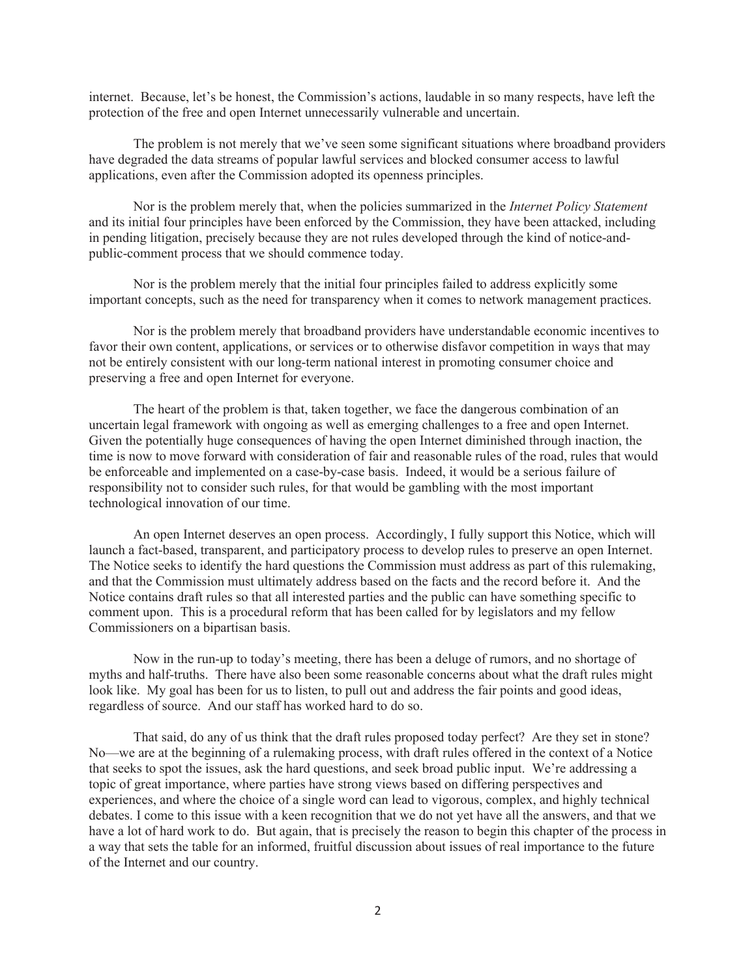internet. Because, let's be honest, the Commission's actions, laudable in so many respects, have left the protection of the free and open Internet unnecessarily vulnerable and uncertain.

The problem is not merely that we've seen some significant situations where broadband providers have degraded the data streams of popular lawful services and blocked consumer access to lawful applications, even after the Commission adopted its openness principles.

Nor is the problem merely that, when the policies summarized in the *Internet Policy Statement* and its initial four principles have been enforced by the Commission, they have been attacked, including in pending litigation, precisely because they are not rules developed through the kind of notice-andpublic-comment process that we should commence today.

Nor is the problem merely that the initial four principles failed to address explicitly some important concepts, such as the need for transparency when it comes to network management practices.

Nor is the problem merely that broadband providers have understandable economic incentives to favor their own content, applications, or services or to otherwise disfavor competition in ways that may not be entirely consistent with our long-term national interest in promoting consumer choice and preserving a free and open Internet for everyone.

The heart of the problem is that, taken together, we face the dangerous combination of an uncertain legal framework with ongoing as well as emerging challenges to a free and open Internet. Given the potentially huge consequences of having the open Internet diminished through inaction, the time is now to move forward with consideration of fair and reasonable rules of the road, rules that would be enforceable and implemented on a case-by-case basis. Indeed, it would be a serious failure of responsibility not to consider such rules, for that would be gambling with the most important technological innovation of our time.

An open Internet deserves an open process. Accordingly, I fully support this Notice, which will launch a fact-based, transparent, and participatory process to develop rules to preserve an open Internet. The Notice seeks to identify the hard questions the Commission must address as part of this rulemaking, and that the Commission must ultimately address based on the facts and the record before it. And the Notice contains draft rules so that all interested parties and the public can have something specific to comment upon. This is a procedural reform that has been called for by legislators and my fellow Commissioners on a bipartisan basis.

Now in the run-up to today's meeting, there has been a deluge of rumors, and no shortage of myths and half-truths. There have also been some reasonable concerns about what the draft rules might look like. My goal has been for us to listen, to pull out and address the fair points and good ideas, regardless of source. And our staff has worked hard to do so.

That said, do any of us think that the draft rules proposed today perfect? Are they set in stone? No—we are at the beginning of a rulemaking process, with draft rules offered in the context of a Notice that seeks to spot the issues, ask the hard questions, and seek broad public input. We're addressing a topic of great importance, where parties have strong views based on differing perspectives and experiences, and where the choice of a single word can lead to vigorous, complex, and highly technical debates. I come to this issue with a keen recognition that we do not yet have all the answers, and that we have a lot of hard work to do. But again, that is precisely the reason to begin this chapter of the process in a way that sets the table for an informed, fruitful discussion about issues of real importance to the future of the Internet and our country.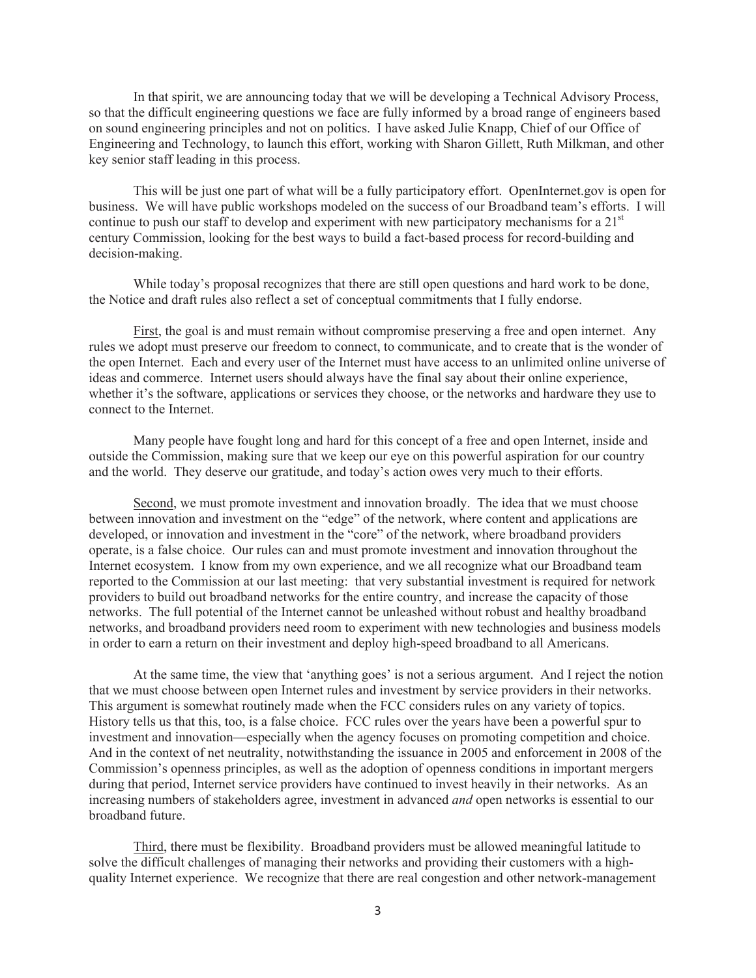In that spirit, we are announcing today that we will be developing a Technical Advisory Process, so that the difficult engineering questions we face are fully informed by a broad range of engineers based on sound engineering principles and not on politics. I have asked Julie Knapp, Chief of our Office of Engineering and Technology, to launch this effort, working with Sharon Gillett, Ruth Milkman, and other key senior staff leading in this process.

This will be just one part of what will be a fully participatory effort. OpenInternet.gov is open for business. We will have public workshops modeled on the success of our Broadband team's efforts. I will continue to push our staff to develop and experiment with new participatory mechanisms for a  $21<sup>st</sup>$ century Commission, looking for the best ways to build a fact-based process for record-building and decision-making.

While today's proposal recognizes that there are still open questions and hard work to be done, the Notice and draft rules also reflect a set of conceptual commitments that I fully endorse.

First, the goal is and must remain without compromise preserving a free and open internet. Any rules we adopt must preserve our freedom to connect, to communicate, and to create that is the wonder of the open Internet. Each and every user of the Internet must have access to an unlimited online universe of ideas and commerce. Internet users should always have the final say about their online experience, whether it's the software, applications or services they choose, or the networks and hardware they use to connect to the Internet.

Many people have fought long and hard for this concept of a free and open Internet, inside and outside the Commission, making sure that we keep our eye on this powerful aspiration for our country and the world. They deserve our gratitude, and today's action owes very much to their efforts.

Second, we must promote investment and innovation broadly. The idea that we must choose between innovation and investment on the "edge" of the network, where content and applications are developed, or innovation and investment in the "core" of the network, where broadband providers operate, is a false choice. Our rules can and must promote investment and innovation throughout the Internet ecosystem. I know from my own experience, and we all recognize what our Broadband team reported to the Commission at our last meeting: that very substantial investment is required for network providers to build out broadband networks for the entire country, and increase the capacity of those networks. The full potential of the Internet cannot be unleashed without robust and healthy broadband networks, and broadband providers need room to experiment with new technologies and business models in order to earn a return on their investment and deploy high-speed broadband to all Americans.

At the same time, the view that 'anything goes' is not a serious argument. And I reject the notion that we must choose between open Internet rules and investment by service providers in their networks. This argument is somewhat routinely made when the FCC considers rules on any variety of topics. History tells us that this, too, is a false choice. FCC rules over the years have been a powerful spur to investment and innovation—especially when the agency focuses on promoting competition and choice. And in the context of net neutrality, notwithstanding the issuance in 2005 and enforcement in 2008 of the Commission's openness principles, as well as the adoption of openness conditions in important mergers during that period, Internet service providers have continued to invest heavily in their networks. As an increasing numbers of stakeholders agree, investment in advanced *and* open networks is essential to our broadband future.

Third, there must be flexibility. Broadband providers must be allowed meaningful latitude to solve the difficult challenges of managing their networks and providing their customers with a highquality Internet experience. We recognize that there are real congestion and other network-management